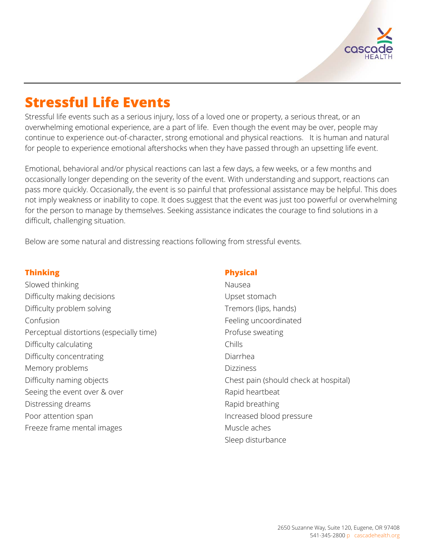

# **Stressful Life Events**

Stressful life events such as a serious injury, loss of a loved one or property, a serious threat, or an overwhelming emotional experience, are a part of life. Even though the event may be over, people may continue to experience out-of-character, strong emotional and physical reactions. It is human and natural for people to experience emotional aftershocks when they have passed through an upsetting life event.

Emotional, behavioral and/or physical reactions can last a few days, a few weeks, or a few months and occasionally longer depending on the severity of the event. With understanding and support, reactions can pass more quickly. Occasionally, the event is so painful that professional assistance may be helpful. This does not imply weakness or inability to cope. It does suggest that the event was just too powerful or overwhelming for the person to manage by themselves. Seeking assistance indicates the courage to find solutions in a difficult, challenging situation.

Below are some natural and distressing reactions following from stressful events.

#### **Thinking**

Slowed thinking Difficulty making decisions Difficulty problem solving Confusion Perceptual distortions (especially time) Difficulty calculating Difficulty concentrating Memory problems Difficulty naming objects Seeing the event over & over Distressing dreams Poor attention span Freeze frame mental images

## **Physical**

Nausea Upset stomach Tremors (lips, hands) Feeling uncoordinated Profuse sweating Chills Diarrhea Dizziness Chest pain (should check at hospital) Rapid heartbeat Rapid breathing Increased blood pressure Muscle aches Sleep disturbance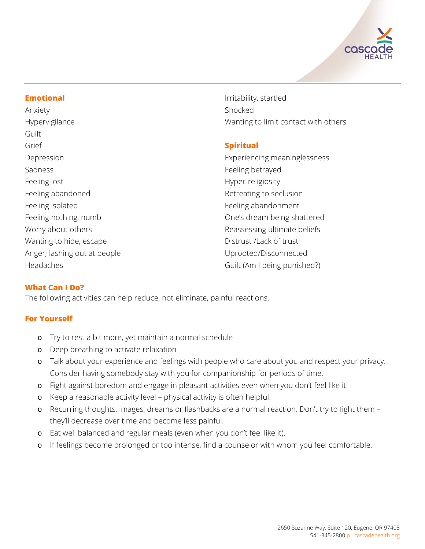

## **Emotional**

Anxiety Hypervigilance Guilt Grief Depression Sadness Feeling lost Feeling abandoned Feeling isolated Feeling nothing, numb Worry about others Wanting to hide, escape Anger; lashing out at people Headaches

Irritability, startled Shocked Wanting to limit contact with others

# **Spiritual**

Experiencing meaninglessness Feeling betrayed Hyper-religiosity Retreating to seclusion Feeling abandonment One's dream being shattered Reassessing ultimate beliefs Distrust /Lack of trust Uprooted/Disconnected Guilt (Am I being punished?)

# **What Can I Do?**

The following activities can help reduce, not eliminate, painful reactions.

# **For Yourself**

- o Try to rest a bit more, yet maintain a normal schedule
- o Deep breathing to activate relaxation
- o Talk about your experience and feelings with people who care about you and respect your privacy. Consider having somebody stay with you for companionship for periods of time.
- o Fight against boredom and engage in pleasant activities even when you don't feel like it.
- o Keep a reasonable activity level physical activity is often helpful.
- o Recurring thoughts, images, dreams or flashbacks are a normal reaction. Don't try to fight them they'll decrease over time and become less painful.
- o Eat well balanced and regular meals (even when you don't feel like it).
- o If feelings become prolonged or too intense, find a counselor with whom you feel comfortable.